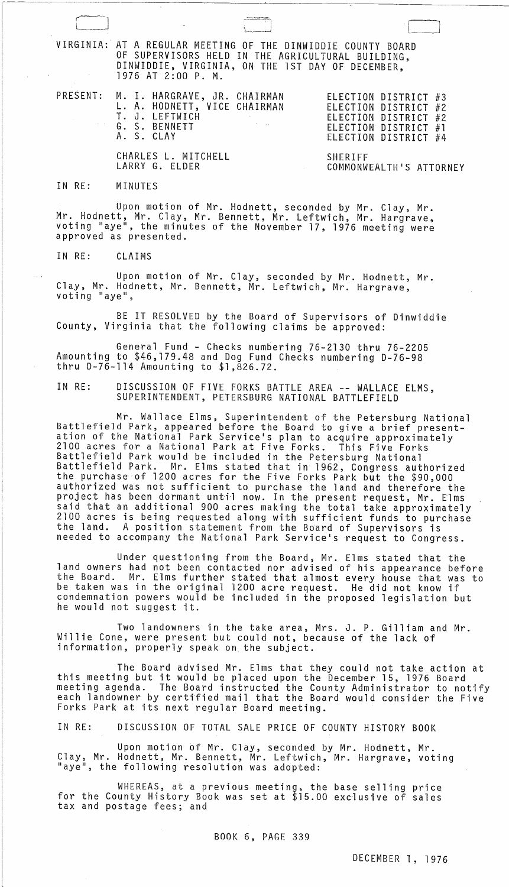| VIRGINIA: AT A REGULAR MEETING OF THE DINWIDDIE COUNTY BOARD<br>OF SUPERVISORS HELD IN THE AGRICULTURAL BUILDING,<br>DINWIDDIE, VIRGINIA, ON THE 1ST DAY OF DECEMBER,<br>1976 AT 2:00 P. M. |                                                                                                                      |
|---------------------------------------------------------------------------------------------------------------------------------------------------------------------------------------------|----------------------------------------------------------------------------------------------------------------------|
| PRESENT: M. I. HARGRAVE, JR. CHAIRMAN<br>L. A. HODNETT, VICE CHAIRMAN<br>T. J. LEFTWICH<br>G. S. BENNETT<br>A. S. CLAY                                                                      | ELECTION DISTRICT #3<br>ELECTION DISTRICT #2<br>ELECTION DISTRICT #2<br>ELECTION DISTRICT #1<br>ELECTION DISTRICT #4 |
| CHARLES L. MITCHELL<br>LARRY G. ELDER                                                                                                                                                       | <b>SHERIFF</b><br>COMMONWEALTH'S ATTORNEY                                                                            |

IN RE: MINUTES

Upon motion of Mr. Hodnett, seconded by Mr. Clay, Mr.<br>Mr. Hodnett, Mr. Clay, Mr. Bennett, Mr. Leftwich, Mr. Hargrave, Mr. Hodnett, Mr. Clay, Mr. Bennett, Mr. Leftwich, Mr. Hargrave,<br>voting "aye", the minutes of the November 17, 1976 meeting were approved as presented.

IN RE: CLAIMS

Upon motion of Mr. Clay, seconded by Mr. Hodnett, Mr. Clay, Mr. Hodnett, Mr. Bennett, Mr. Leftwich, Mr. Hargrave,<br>voting "aye",

BE IT RESOLVED by the Board of Supervisors of Dinwiddie County, Virginia that the following claims be approved:

General Fund - Checks numbering 76-2130 thru 76-2205 Amounting to \$46,179.48 and Dog Fund Checks numbering D-76-98 thru D-76-114 Amounting to \$1,826.72.

IN RE: DISCUSSION OF FIVE FORKS BATTLE AREA -- WALLACE ELMS, SUPERINTENDENT, PETERSBURG NATIONAL BATTLEFIELD

Mr. Wallace Elms, Superintendent of the Petersburg National Battlefield Park, appeared before the Board to give a brief presentation of the National Park Service's plan to acquire approximately 2100 acres for a National Park at Five Forks. This Five Forks Battlefield Park would be included in the Petersburg National Battlefield Park. Mr. Elms stated that in 1962, Congress authorized the purchase of 1200 acres for the Five Forks Park but the \$90,000 authorized was not sufficient to purchase the land and therefore the project has been dormant until now. In the present request, Mr. Elms said that an additional 900 acres making the total take approximately 2100 acres is being requested along with sufficient funds to purchase the land. A position statement from the Board of Supervisors is needed to accompany the National Park Service's request to Congress.

Under questioning from the Board, Mr. Elms stated that the land owners had not been contacted nor advised of his appearance before the Board. Mr. Elms further stated that almost every house that was to be taken was in the original 1200 acre request. He did not know if condemnation powers would be included in the proposed legislation but he would not suggest it.

Two landowners in the take area, Mrs. J. P. Gilliam and Mr. Willie Cone, were present but could not, because of the lack of information, properly speak on. the subject.

The Board advised Mr. Elms that they could not take action at this meeting but it would be placed upon the December 15, 1976 Board meeting agenda. The Board instructed the County Administrator to notify each landowner by certified mail that the Board would consider the Five Forks Park at its next regular Board meeting.

IN RE: DISCUSSION OF TOTAL SALE PRICE OF COUNTY HISTORY BOOK

Upon motion of Mr. Clay, seconded by Mr. Hodnett, Mr. Clay, Mr. Hodnett, Mr. Bennett, Mr. Leftwich, Mr. Hargrave, voting<br>"aye", the following resolution was adopted:

WHEREAS, at a previous meeting, the base selling price for the County History Book was set at \$15.00 exclusive of sales tax and postage fees; and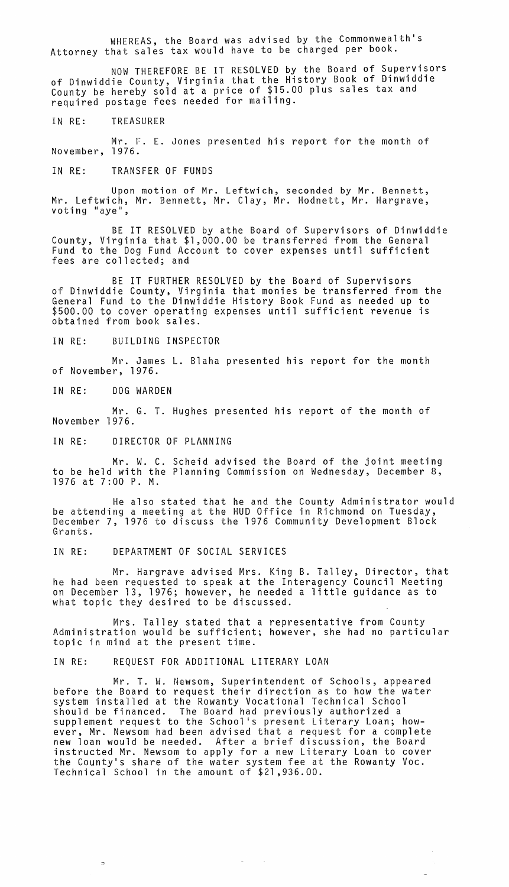WHEREAS, the Board was advised by the Commonwealth's Attorney that sales tax would have to be charged per book.

NOW THEREFORE BE IT RESOLVED by the Board of Supervisors of Dinwiddie County, Virginia that the History Book of Dinwiddie County be hereby sold at a price of \$15.00 plus sales tax and required postage fees needed for mailing.

IN RE: TREASURER

Mr. F. E. Jones presented his report for the month of November, 1976.

IN RE: TRANSFER OF FUNDS

Upon motion of Mr. Leftwich, seconded by Mr. Bennett, Mr. Leftwich, Mr. Bennett, Mr. Clay, Mr. Hodnett, Mr. Hargrave,<br>voting "aye",

BE IT RESOLVED by athe Board of Supervisors of Dinwiddie County, Virginia that \$1,000.00 be transferred from the General Fund to the Dog Fund Account to cover expenses until sufficient fees are collected; and

BE IT FURTHER RESOLVED by the Board of Supervisors of Dinwiddie County, Virginia that monies be transferred from the General Fund to the Dinwiddie History Book Fund as needed up to \$500.00 to cover operating expenses until sufficient revenue is obtained from book sales.

IN RE: BUILDING INSPECTOR

Mr. James L. Blaha presented his report for the month of November, 1976.

IN RE: DOG WARDEN

Mr. G. T. Hughes presented his report of the month of November 1976.

IN RE: DIRECTOR OF PLANNING

Mr. W. C. Scheid advised the Board of the joint meeting to be held with the Planning Commission on Wednesday, December 8, 1976 at 7:00 P. M.

He also stated that he and the County Administrator would be attending a meeting at the HUD Office in Richmond on Tuesday, December 7, 1976 to discuss the 1976 Community Development Block Grants.

IN RE: DEPARTMENT OF SOCIAL SERVICES

Mr. Hargrave advised Mrs. King B. Talley, Director, that he had been requested to speak at the Interagency Council Meeting on December 13, 1976; however, he needed a little guidance as to what topic they desired to be discussed.

Mrs. Talley stated that a representative from County Administration would be sufficient; however, she had no particular topic in mind at the present time.

IN RE: REQUEST FOR ADDITIONAL LITERARY LOAN

Mr. T. W. Newsom, Superintendent of Schools, appeared before the Board to request their direction as to how the water system installed at the Rowanty Vocational Technical School should be financed. The Board had previously authorized a supplement request to the School's present Literary Loan; however, Mr. Newsom had been advised that a request for a complete new loan would be needed. After a brief discussion, the Board instructed Mr. Newsom to apply for a new Literary Loan to cover the County's share of the water system fee at the Rowanty Voc. Technical School in the amount of \$21,936.00.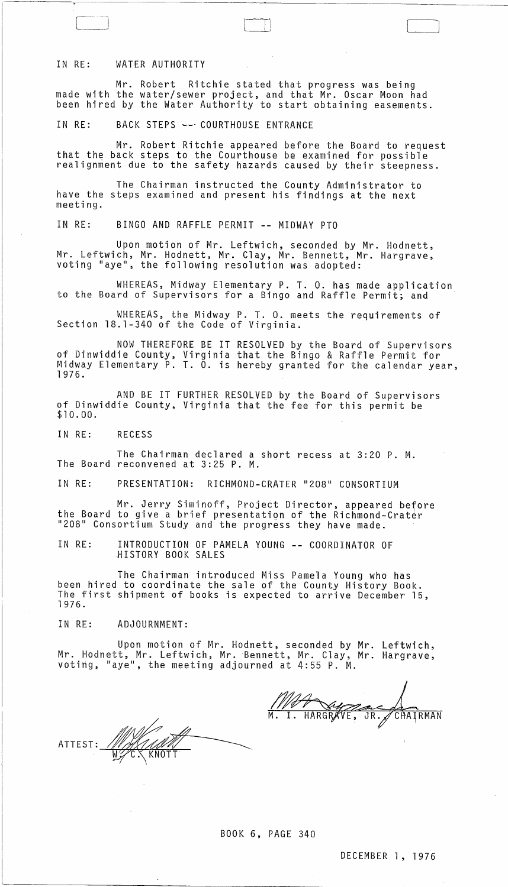## IN RE: WATER AUTHORITY

Mr. Robert Ritchie stated that progress was being made with the water/sewer project, and that Mr. Oscar Moon had been hired by the Water Authority to start obtaining easements.

 $\int$ 

IN RE: BACK STEPS -- COURTHOUSE ENTRANCE

Mr. Robert Ritchie appeared before the Board to request that the back steps to the Courthouse be examined for possible realignment due to the safety hazards caused by their steepness.

The Chairman instructed the County Administrator to have the steps examined and present his findings at the next meeting.

IN RE: BINGO AND RAFFLE PERMIT **--** MIDWAY PTO

Upon motion of Mr. Leftwich, seconded by Mr. Hodnett, Mr. Leftwich, Mr. Hodnett, Mr. Clay, Mr. Bennett, Mr. Hargrave,<br>voting "aye", the following resolution was adopted:

WHEREAS, Midway Elementary P. T. o. has made application to the Board of Supervisors for a Bingo and Raffle Permit; and "

WHEREAS, the Midway P. T. O. meets the requirements of Section 18.1-340 of the Code of Virginia.

NOW THEREFORE BE IT RESOLVED by the Board of Supervisors of Dinwiddie County, Virginia that the Bingo & Raffle Permit for Midway Elementary P. T. O. is hereby granted for the calendar year,<br>1976.

AND BE IT FURTHER RESOLVED by the Board of Supervisors of Dinwiddie County, Virginia that the fee for this permit be \$10.00.

IN RE: RECESS

The Chairman declared a short recess at 3:20 P. M. The Board reconvened at 3:25 P. M.

IN RE: PRESENTATION: RICHMOND-CRATER "208" CONSORTIUM

Mr. Jerry Siminoff, Project Director, appeared before the Board to give a brief presentation of the Richmond-Crater "208" Consortium Study and the progress they have made.

IN RE: INTRODUCTION OF PAMELA YOUNG **--** COORDINATOR OF ~ISTORY BOOK SALES

The Chairman introduced Miss Pamela Young who has been hired to coordinate the sale of the County History Book. The first shipment of books is expected to arrive December 15, 1976.

IN RE: ADJOURNMENT:

Upon motion of Mr. Hodnett, seconded by Mr. Leftwich, Mr. Hodnett, Mr. Leftwich, Mr. Bennett, Mr. Clay, Mr. Hargrave, voting, "aye", the meeting adjourned at 4:55 P. M.

ATTEST:~~ *<sup>W</sup>*C." KNOTT

BOOK 6, PAGE 340